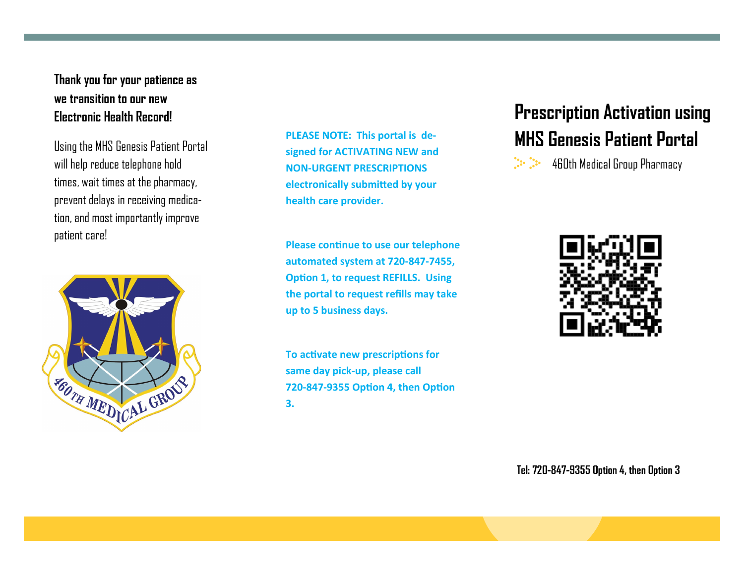## **Thank you for your patience as we transition to our new Electronic Health Record!**

will help reduce telephone hold times, wait times at the pharmacy, prevent delays in receiving medication, and most importantly improve patient care!



**PLEASE NOTE: This portal is designed for ACTIVATING NEW and NON-URGENT PRESCRIPTIONS electronically submitted by your health care provider.** 

**Please continue to use our telephone automated system at 720-847-7455, Option 1, to request REFILLS. Using the portal to request refills may take up to 5 business days.** 

**To activate new prescriptions for same day pick-up, please call 720-847-9355 Option 4, then Option 3.**

## **Prescription Activation using**  Using the MHS Genesis Patient Portal **Section Activity of Activity Press** Patient Portal Using the MHS Genesis Patient Portal

 $\sum_{i=1}^{n} \frac{1}{n} \sum_{i=1}^{n} \frac{1}{n} \sum_{i=1}^{n} \frac{1}{n}$ 460th Medical Group Pharmacy



**Tel:**